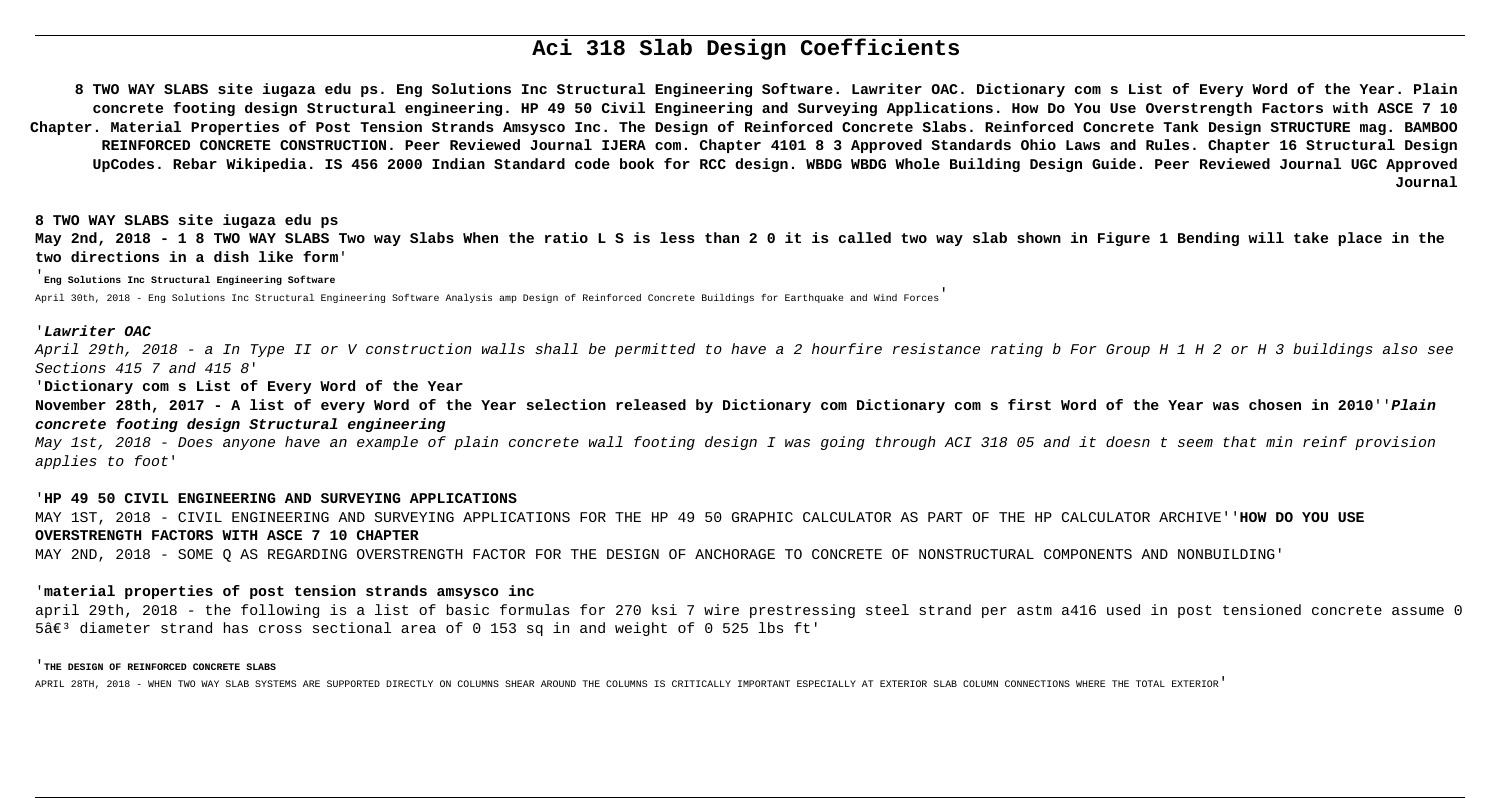# **Aci 318 Slab Design Coefficients**

**8 TWO WAY SLABS site iugaza edu ps. Eng Solutions Inc Structural Engineering Software. Lawriter OAC. Dictionary com s List of Every Word of the Year. Plain concrete footing design Structural engineering. HP 49 50 Civil Engineering and Surveying Applications. How Do You Use Overstrength Factors with ASCE 7 10 Chapter. Material Properties of Post Tension Strands Amsysco Inc. The Design of Reinforced Concrete Slabs. Reinforced Concrete Tank Design STRUCTURE mag. BAMBOO REINFORCED CONCRETE CONSTRUCTION. Peer Reviewed Journal IJERA com. Chapter 4101 8 3 Approved Standards Ohio Laws and Rules. Chapter 16 Structural Design UpCodes. Rebar Wikipedia. IS 456 2000 Indian Standard code book for RCC design. WBDG WBDG Whole Building Design Guide. Peer Reviewed Journal UGC Approved Journal**

**8 TWO WAY SLABS site iugaza edu ps May 2nd, 2018 - 1 8 TWO WAY SLABS Two way Slabs When the ratio L S is less than 2 0 it is called two way slab shown in Figure 1 Bending will take place in the two directions in a dish like form**'

'**Eng Solutions Inc Structural Engineering Software**

april 29th, 2018 - the following is a list of basic formulas for 270 ksi 7 wire prestressing steel strand per astm a416 used in post tensioned concrete assume 0  $5\hat{\alpha}\in\mathbb{S}^3$  diameter strand has cross sectional area of 0 153 sq in and weight of 0 525 lbs ft'

April 30th, 2018 - Eng Solutions Inc Structural Engineering Software Analysis amp Design of Reinforced Concrete Buildings for Earthquake and Wind Forces'

# '**Lawriter OAC**

April 29th, 2018 - a In Type II or V construction walls shall be permitted to have a 2 hourfire resistance rating b For Group H 1 H 2 or H 3 buildings also see Sections 415 7 and 415 8'

'**Dictionary com s List of Every Word of the Year**

**November 28th, 2017 - A list of every Word of the Year selection released by Dictionary com Dictionary com s first Word of the Year was chosen in 2010**''**Plain concrete footing design Structural engineering**

May 1st, 2018 - Does anyone have an example of plain concrete wall footing design I was going through ACI 318 05 and it doesn t seem that min reinf provision applies to foot'

# '**HP 49 50 CIVIL ENGINEERING AND SURVEYING APPLICATIONS**

MAY 1ST, 2018 - CIVIL ENGINEERING AND SURVEYING APPLICATIONS FOR THE HP 49 50 GRAPHIC CALCULATOR AS PART OF THE HP CALCULATOR ARCHIVE''**HOW DO YOU USE OVERSTRENGTH FACTORS WITH ASCE 7 10 CHAPTER**

MAY 2ND, 2018 - SOME Q AS REGARDING OVERSTRENGTH FACTOR FOR THE DESIGN OF ANCHORAGE TO CONCRETE OF NONSTRUCTURAL COMPONENTS AND NONBUILDING'

# '**material properties of post tension strands amsysco inc**

### '**THE DESIGN OF REINFORCED CONCRETE SLABS**

APRIL 28TH, 2018 - WHEN TWO WAY SLAB SYSTEMS ARE SUPPORTED DIRECTLY ON COLUMNS SHEAR AROUND THE COLUMNS IS CRITICALLY IMPORTANT ESPECIALLY AT EXTERIOR SLAB COLUMN CONNECTIONS WHERE THE TOTAL EXTERIOR'